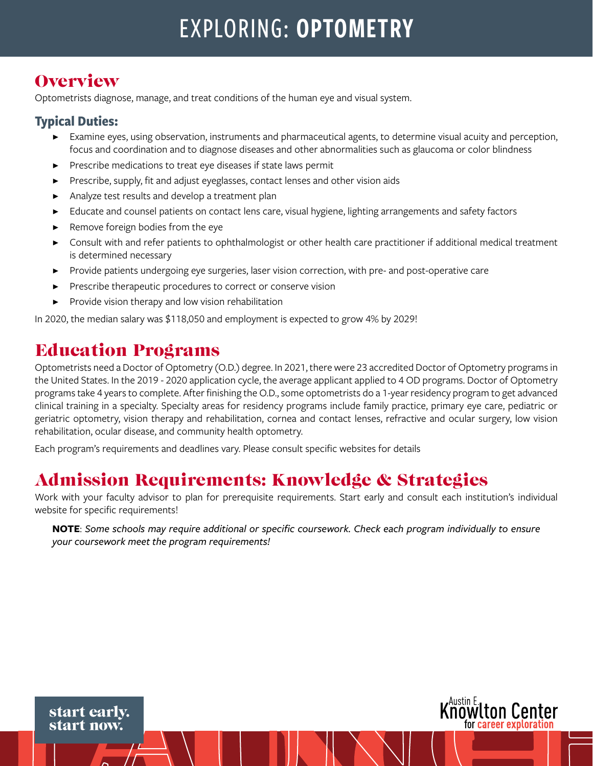# EXPLORING: OPTOMETRY

# **Overview**

Optometrists diagnose, manage, and treat conditions of the human eye and visual system.

#### **Typical Duties:**

- ▶ Examine eyes, using observation, instruments and pharmaceutical agents, to determine visual acuity and perception, focus and coordination and to diagnose diseases and other abnormalities such as glaucoma or color blindness
- Prescribe medications to treat eye diseases if state laws permit
- Prescribe, supply, fit and adjust eyeglasses, contact lenses and other vision aids
- Analyze test results and develop a treatment plan
- Educate and counsel patients on contact lens care, visual hygiene, lighting arrangements and safety factors
- Remove foreign bodies from the eye
- Consult with and refer patients to ophthalmologist or other health care practitioner if additional medical treatment is determined necessary
- ▶ Provide patients undergoing eye surgeries, laser vision correction, with pre- and post-operative care
- Prescribe therapeutic procedures to correct or conserve vision
- Provide vision therapy and low vision rehabilitation

In 2020, the median salary was \$118,050 and employment is expected to grow 4% by 2029!

# Education Programs

start early. start now.

Optometrists need a Doctor of Optometry (O.D.) degree. In 2021, there were 23 accredited Doctor of Optometry programs in the United States. In the 2019 - 2020 application cycle, the average applicant applied to 4 OD programs. Doctor of Optometry programs take 4 years to complete. After finishing the O.D., some optometrists do a 1-year residency program to get advanced clinical training in a specialty. Specialty areas for residency programs include family practice, primary eye care, pediatric or geriatric optometry, vision therapy and rehabilitation, cornea and contact lenses, refractive and ocular surgery, low vision rehabilitation, ocular disease, and community health optometry.

Each program's requirements and deadlines vary. Please consult specific websites for details

### Admission Requirements: Knowledge & Strategies

Work with your faculty advisor to plan for prerequisite requirements. Start early and consult each institution's individual website for specific requirements!

**NOTE**: *Some schools may require additional or specific coursework. Check each program individually to ensure your coursework meet the program requirements!*

Austin E.<br>**NOWLTON Center** 

for career exploration